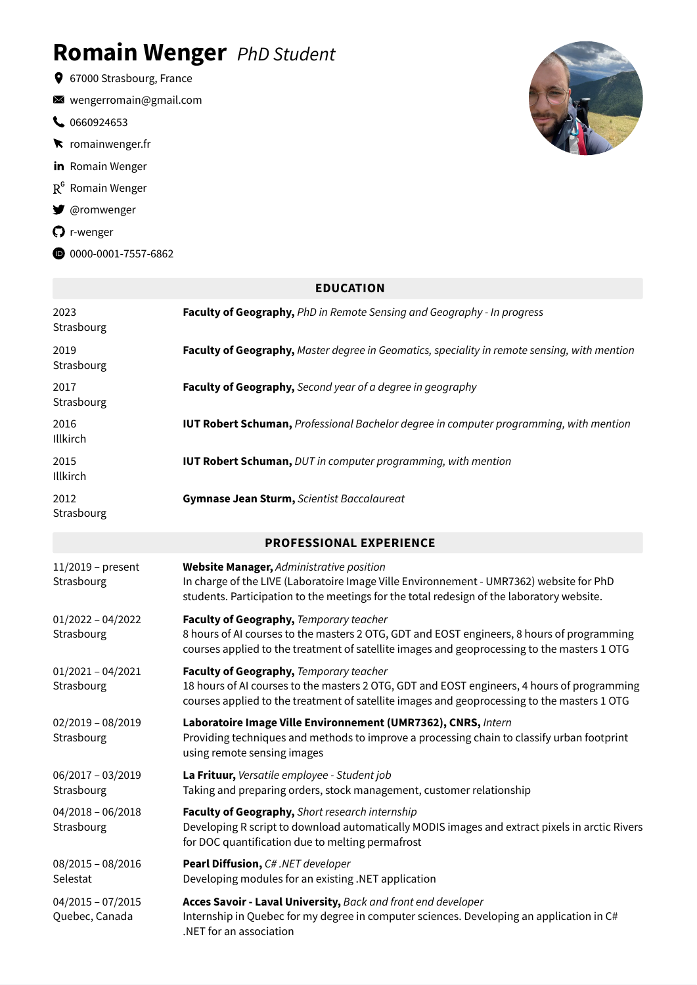# **Romain Wenger** *PhD Student*

- 67000 Strasbourg, France
- [wengerromain@gmail.com](mailto:wengerromain@gmail.com)
- [0660924653](tel:0660924653)
- **k** [romainwenger.fr](https://app.flowcv.io/romainwenger.fr)
- in [Romain](https://www.linkedin.com/in/romain-wenger-88b124ba/) Wenger
- $R^G$  [Romain](https://www.researchgate.net/profile/Romain-Wenger) Wenger
- [@romwenger](https://twitter.com/romwenger)
- [r-wenger](https://github.com/r-wenger)
- $0$ [0000-0001-7557-6862](https://orcid.org/0000-0001-7557-6862)



|                                       | <b>EDUCATION</b>                                                                                                                                                                                                                      |
|---------------------------------------|---------------------------------------------------------------------------------------------------------------------------------------------------------------------------------------------------------------------------------------|
| 2023<br>Strasbourg                    | Faculty of Geography, PhD in Remote Sensing and Geography - In progress                                                                                                                                                               |
| 2019<br>Strasbourg                    | Faculty of Geography, Master degree in Geomatics, speciality in remote sensing, with mention                                                                                                                                          |
| 2017<br>Strasbourg                    | Faculty of Geography, Second year of a degree in geography                                                                                                                                                                            |
| 2016<br>Illkirch                      | <b>IUT Robert Schuman, Professional Bachelor degree in computer programming, with mention</b>                                                                                                                                         |
| 2015<br>Illkirch                      | <b>IUT Robert Schuman, DUT in computer programming, with mention</b>                                                                                                                                                                  |
| 2012<br>Strasbourg                    | Gymnase Jean Sturm, Scientist Baccalaureat                                                                                                                                                                                            |
|                                       | <b>PROFESSIONAL EXPERIENCE</b>                                                                                                                                                                                                        |
| $11/2019$ – present<br>Strasbourg     | Website Manager, Administrative position<br>In charge of the LIVE (Laboratoire Image Ville Environnement - UMR7362) website for PhD<br>students. Participation to the meetings for the total redesign of the laboratory website.      |
| $01/2022 - 04/2022$<br>Strasbourg     | Faculty of Geography, Temporary teacher<br>8 hours of AI courses to the masters 2 OTG, GDT and EOST engineers, 8 hours of programming<br>courses applied to the treatment of satellite images and geoprocessing to the masters 1 OTG  |
| $01/2021 - 04/2021$<br>Strasbourg     | Faculty of Geography, Temporary teacher<br>18 hours of AI courses to the masters 2 OTG, GDT and EOST engineers, 4 hours of programming<br>courses applied to the treatment of satellite images and geoprocessing to the masters 1 OTG |
| $02/2019 - 08/2019$<br>Strasbourg     | Laboratoire Image Ville Environnement (UMR7362), CNRS, Intern<br>Providing techniques and methods to improve a processing chain to classify urban footprint<br>using remote sensing images                                            |
| 06/2017 - 03/2019<br>Strasbourg       | La Frituur, Versatile employee - Student job<br>Taking and preparing orders, stock management, customer relationship                                                                                                                  |
| $04/2018 - 06/2018$<br>Strasbourg     | Faculty of Geography, Short research internship<br>Developing R script to download automatically MODIS images and extract pixels in arctic Rivers<br>for DOC quantification due to melting permafrost                                 |
| $08/2015 - 08/2016$<br>Selestat       | Pearl Diffusion, C#.NET developer<br>Developing modules for an existing .NET application                                                                                                                                              |
| $04/2015 - 07/2015$<br>Quebec, Canada | Acces Savoir - Laval University, Back and front end developer<br>Internship in Quebec for my degree in computer sciences. Developing an application in C#<br>.NET for an association                                                  |